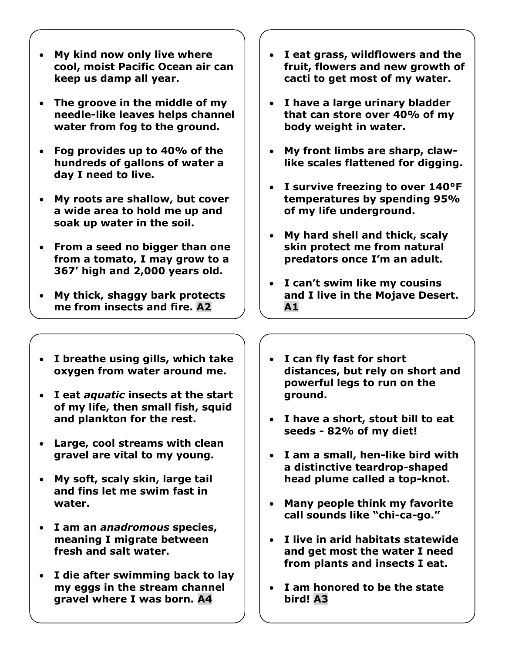- **My kind now only live where cool, moist Pacific Ocean air can keep us damp all year.**
- **The groove in the middle of my needle-like leaves helps channel water from fog to the ground.**
- **Fog provides up to 40% of the hundreds of gallons of water a day I need to live.**
- **My roots are shallow, but cover a wide area to hold me up and soak up water in the soil.**
- **From a seed no bigger than one from a tomato, I may grow to a 367' high and 2,000 years old.**
- **My thick, shaggy bark protects me from insects and fire. A2**
- **I eat grass, wildflowers and the fruit, flowers and new growth of cacti to get most of my water.**
- **I have a large urinary bladder that can store over 40% of my body weight in water.**
- **My front limbs are sharp, clawlike scales flattened for digging.**
- **I survive freezing to over 140°F temperatures by spending 95% of my life underground.**
- **My hard shell and thick, scaly skin protect me from natural predators once I'm an adult.**
- **I can't swim like my cousins and I live in the Mojave Desert. A1**
- **I breathe using gills, which take oxygen from water around me.**
- **I eat** *aquatic* **insects at the start of my life, then small fish, squid and plankton for the rest.**
- **Large, cool streams with clean gravel are vital to my young.**
- **My soft, scaly skin, large tail and fins let me swim fast in water.**
- **I am an** *anadromous* **species, meaning I migrate between fresh and salt water.**
- **I die after swimming back to lay my eggs in the stream channel gravel where I was born. A4**
- **I can fly fast for short distances, but rely on short and powerful legs to run on the ground.**
- **I have a short, stout bill to eat seeds - 82% of my diet!**
- **I am a small, hen-like bird with a distinctive teardrop-shaped head plume called a top-knot.**
- **Many people think my favorite call sounds like "chi-ca-go."**
- **I live in arid habitats statewide and get most the water I need from plants and insects I eat.**
- **I am honored to be the state bird! A3**